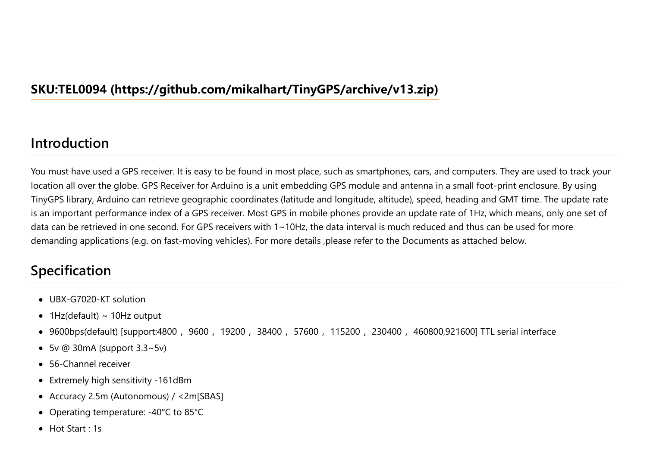### <span id="page-0-0"></span>**[SKU:TEL0094 \(https://github.com/mikalhart/TinyGPS/archive/v13.zip\)](https://github.com/mikalhart/TinyGPS/archive/v13.zip)**

#### **Introduction**

You must have used a GPS receiver. It is easy to be found in most place, such as smartphones, cars, and computers. They are used to track your location all over the globe. GPS Receiver for Arduino is a unit embedding GPS module and antenna in a small foot-print enclosure. By using TinyGPS library, Arduino can retrieve geographic coordinates (latitude and longitude, altitude), speed, heading and GMT time. The update rate is an important performance index of a GPS receiver. Most GPS in mobile phones provide an update rate of 1Hz, which means, only one set of data can be retrieved in one second. For GPS receivers with 1~10Hz, the data interval is much reduced and thus can be used for more demanding applications (e.g. on fast-moving vehicles). For more details ,please refer to the Documents as attached below.

## **Specification**

- UBX-G7020-KT solution
- $\bullet$  1Hz(default) ~ 10Hz output
- 9600bps(default) [support:4800, 9600, 19200, 38400, 57600, 115200, 230400, 460800,921600] TTL serial interface
- $\bullet$  5v @ 30mA (support 3.3~5v)
- 56-Channel receiver
- Extremely high sensitivity -161dBm
- Accuracy 2.5m (Autonomous) / <2m[SBAS]
- Operating temperature: -40°C to 85°C
- Hot Start : 1s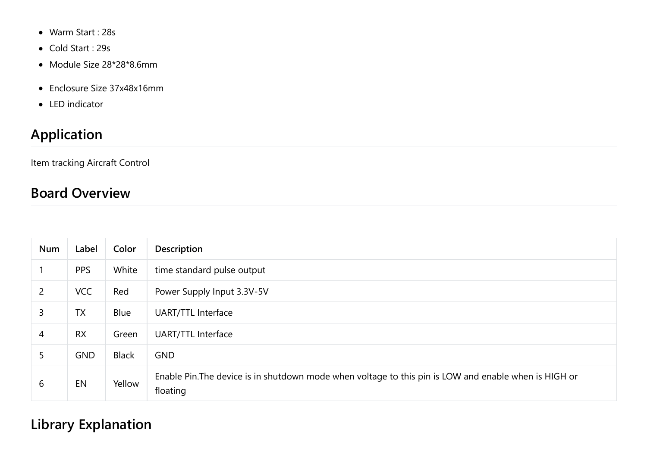- Warm Start : 28s
- Cold Start : 29s
- Module Size 28\*28\*8.6mm
- Enclosure Size 37x48x16mm
- LED indicator

# **Application**

Item tracking Aircraft Control

# **Board Overview**

| Num            | Label      | Color        | <b>Description</b>                                                                                                |  |
|----------------|------------|--------------|-------------------------------------------------------------------------------------------------------------------|--|
|                | <b>PPS</b> | White        | time standard pulse output                                                                                        |  |
| $\overline{2}$ | <b>VCC</b> | Red          | Power Supply Input 3.3V-5V                                                                                        |  |
| 3              | <b>TX</b>  | Blue         | <b>UART/TTL Interface</b>                                                                                         |  |
| 4              | <b>RX</b>  | Green        | <b>UART/TTL Interface</b>                                                                                         |  |
| 5              | <b>GND</b> | <b>Black</b> | <b>GND</b>                                                                                                        |  |
| 6              | EN         | Yellow       | Enable Pin. The device is in shutdown mode when voltage to this pin is LOW and enable when is HIGH or<br>floating |  |

**Library Explanation**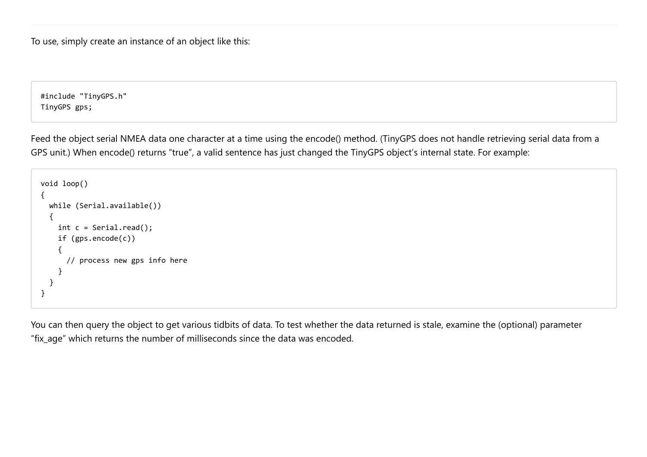To use, simply create an instance of an object like this:

#include "TinyGPS.h" TinyGPS gps;

Feed the object serial NMEA data one character at a time using the encode() method. (TinyGPS does not handle retrieving serial data from a GPS unit.) When encode() returns "true", a valid sentence has just changed the TinyGPS object's internal state. For example:

```
void loop()
{
  while (Serial.available())
  {
    int c = Serial.read();
    if (gps.encode(c))
    {
      // process new gps info here
    }
  }
}
```
You can then query the object to get various tidbits of data. To test whether the data returned is stale, examine the (optional) parameter "fix\_age" which returns the number of milliseconds since the data was encoded.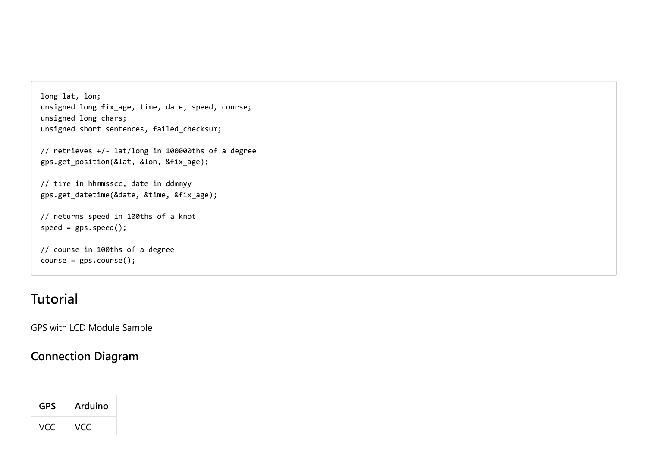```
long lat, lon;
unsigned long fix age, time, date, speed, course;
unsigned long chars;
unsigned short sentences, failed checksum;
```

```
// retrieves +/- lat/long in 100000ths of a degree
gps.get_position(&lat, &lon, &fix_age);
```

```
// time in hhmmsscc, date in ddmmyy
gps.get_datetime(&date, &time, &fix_age);
```

```
// returns speed in 100ths of a knot
speed = gps.\speed();
```

```
// course in 100ths of a degree
course = gps.course();
```
## **Tutorial**

GPS with LCD Module Sample

#### **Connection Diagram**

| <b>GPS</b> | Arduino |
|------------|---------|
| VCC.       | VCC     |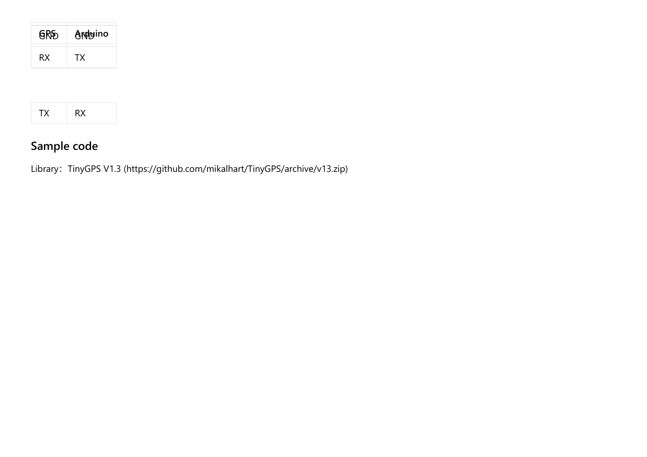| <b>GRD</b> | Archyino |
|------------|----------|
| RX.        | ТX       |

# **Sample code**

Library: [TinyGPS V1.3 \(https://github.com/mikalhart/TinyGPS/archive/v13.zip\)](https://github.com/mikalhart/TinyGPS/archive/v13.zip)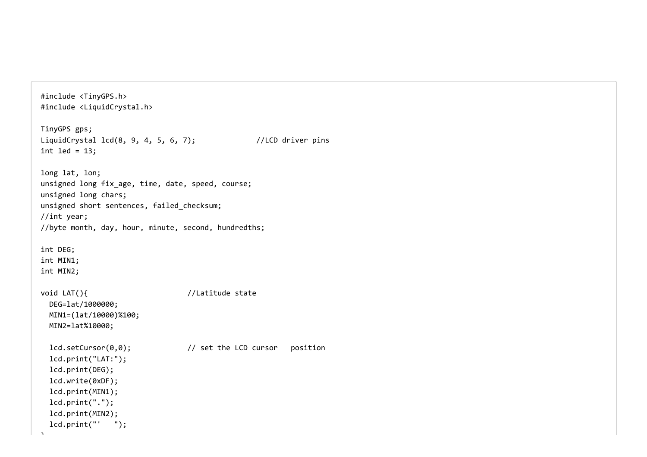#include <TinyGPS.h> #include <LiquidCrystal.h> TinyGPS gps; LiquidCrystal  $lcd(8, 9, 4, 5, 6, 7);$  //LCD driver pins int led =  $13$ ; long lat, lon; unsigned long fix age, time, date, speed, course; unsigned long chars; unsigned short sentences, failed checksum; //int year; //byte month, day, hour, minute, second, hundredths; int DEG; int MIN1; int MIN2; void LAT(){ //Latitude state DEG=lat/1000000; MIN1=(lat/10000)%100; MIN2=lat%10000; lcd.setCursor(0,0); // set the LCD cursor position lcd.print("LAT:"); lcd.print(DEG); lcd.write(0xDF); lcd.print(MIN1); lcd.print("."); lcd.print(MIN2); lcd.print("' ");

 $\ddot{\phantom{1}}$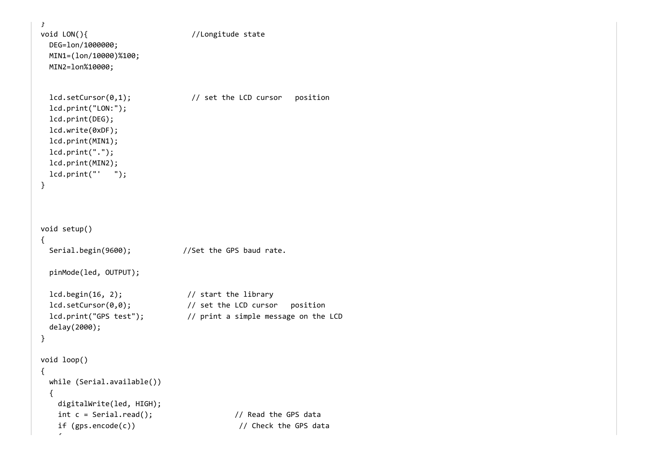```
}
void LON(){ //Longitude state
 DEG=lon/1000000;
 MIN1=(lon/10000)%100;
 MIN2=lon%10000;
 lcd.setCursor(0,1); // set the LCD cursor position
 lcd.print("LON:");
 lcd.print(DEG);
 lcd.write(0xDF);
 lcd.print(MIN1);
 lcd.print(".");
 lcd.print(MIN2);
 lcd.print("' ");
}
void setup()
{
 Serial.begin(9600); //Set the GPS baud rate.
 pinMode(led, OUTPUT);
 lcd.begin(16, 2); // start the library
 lcd.setCursor(0,0); // set the LCD cursor position
 lcd.print("GPS test"); // print a simple message on the LCD
 delay(2000);
}
void loop()
{
 while (Serial.available())
 {
   digitalWrite(led, HIGH);
   int c = Serial.read(); // Read the GPS data
   if (gps.encode(c)) // Check the GPS data
```
 $\tilde{z}$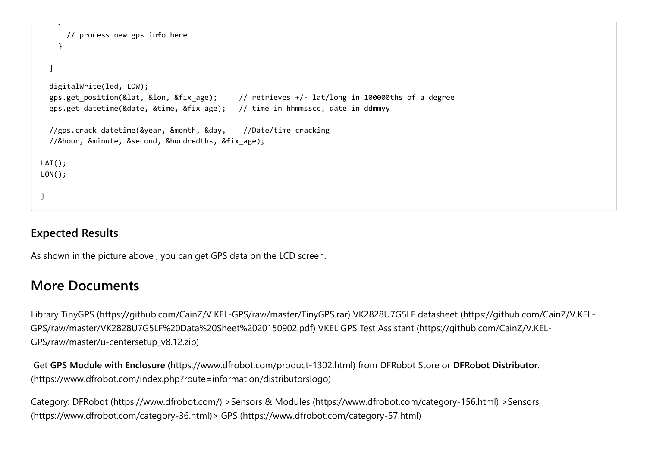```
{
     // process new gps info here
   }
  }
 digitalWrite(led, LOW);
 gps.get position(&lat, &lon, &fix age); // retrieves +/- lat/long in 100000ths of a degree
 gps.get datetime(&date, &time, &fix age); // time in hhmmsscc, date in ddmmyy
 //gps.crack datetime(&year, &month, &day, //Date/time cracking
 //&hour, &minute, &second, &hundredths, &fix_age);
LAT();
LON();
}
```
#### **Expected Results**

As shown in the picture above , you can get GPS data on the LCD screen.

### **More Documents**

[Library TinyGPS \(https://github.com/CainZ/V.KEL-GPS/raw/master/TinyGPS.rar\)](https://github.com/CainZ/V.KEL-GPS/raw/master/TinyGPS.rar) VK2828U7G5LF datasheet (https://github.com/CainZ/V.KEL-[GPS/raw/master/VK2828U7G5LF%20Data%20Sheet%2020150902.pdf\)](https://github.com/CainZ/V.KEL-GPS/raw/master/u-centersetup_v8.12.zip) VKEL GPS Test Assistant (https://github.com/CainZ/V.KEL-GPS/raw/master/u-centersetup\_v8.12.zip)

 Get **GPS Module with Enclosure** [\(https://www.dfrobot.com/product-1302.html\)](https://www.dfrobot.com/product-1302.html) from DFRobot Store or **DFRobot Distributor**. [\(https://www.dfrobot.com/index.php?route=information/distributorslogo\)](https://www.dfrobot.com/index.php?route=information/distributorslogo)

[Category:](https://www.dfrobot.com/category-36.html) [DFRobot \(https://www.dfrobot.com/\)](https://www.dfrobot.com/) [>S](https://www.dfrobot.com/category-36.html)[ensors & Modules \(https://www.dfrobot.com/category-156.html\)](https://www.dfrobot.com/category-156.html) [>Sensors](https://www.dfrobot.com/category-36.html) (https://www.dfrobot.com/category-36.html)> [GPS \(https://www.dfrobot.com/category-57.html\)](https://www.dfrobot.com/category-57.html)